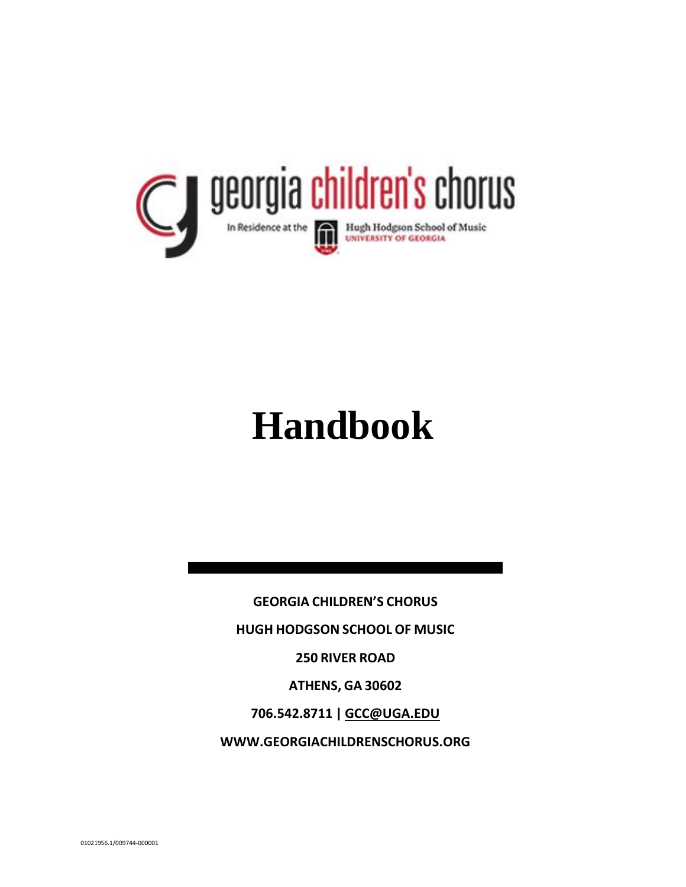

# **Handbook**

**GEORGIA CHILDREN'S CHORUS**

**HUGH HODGSON SCHOOL OF MUSIC**

**250 RIVER ROAD**

**ATHENS, GA 30602**

**706.542.8711 | GCC@UGA.EDU**

**WWW.GEORGIACHILDRENSCHORUS.ORG**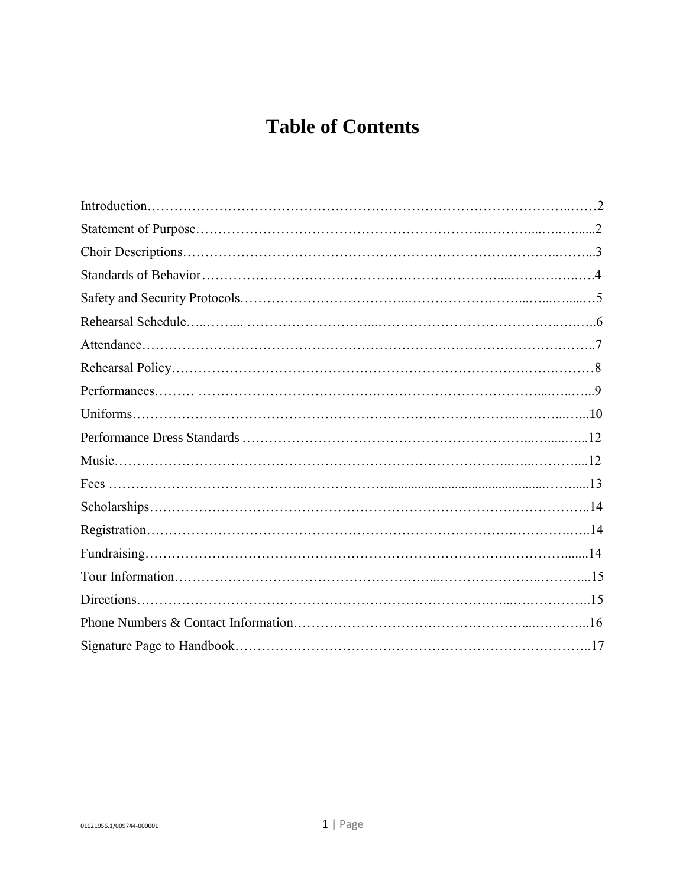# **Table of Contents**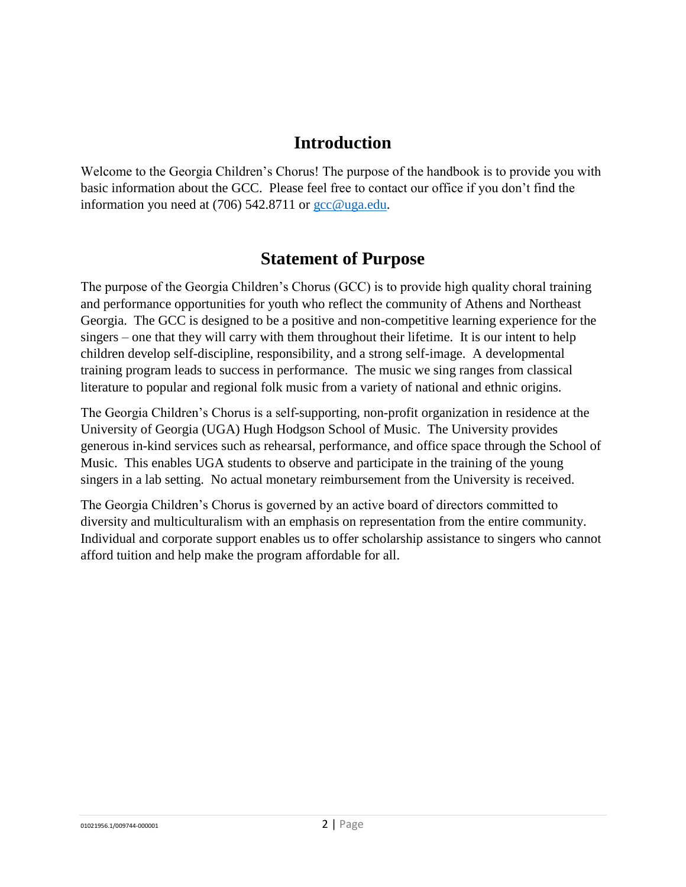### **Introduction**

Welcome to the Georgia Children's Chorus! The purpose of the handbook is to provide you with basic information about the GCC. Please feel free to contact our office if you don't find the information you need at  $(706)$  542.8711 or [gcc@uga.edu.](mailto:gcc@uga.edu)

### **Statement of Purpose**

The purpose of the Georgia Children's Chorus (GCC) is to provide high quality choral training and performance opportunities for youth who reflect the community of Athens and Northeast Georgia. The GCC is designed to be a positive and non-competitive learning experience for the singers – one that they will carry with them throughout their lifetime. It is our intent to help children develop self-discipline, responsibility, and a strong self-image. A developmental training program leads to success in performance. The music we sing ranges from classical literature to popular and regional folk music from a variety of national and ethnic origins.

The Georgia Children's Chorus is a self-supporting, non-profit organization in residence at the University of Georgia (UGA) Hugh Hodgson School of Music. The University provides generous in-kind services such as rehearsal, performance, and office space through the School of Music. This enables UGA students to observe and participate in the training of the young singers in a lab setting. No actual monetary reimbursement from the University is received.

The Georgia Children's Chorus is governed by an active board of directors committed to diversity and multiculturalism with an emphasis on representation from the entire community. Individual and corporate support enables us to offer scholarship assistance to singers who cannot afford tuition and help make the program affordable for all.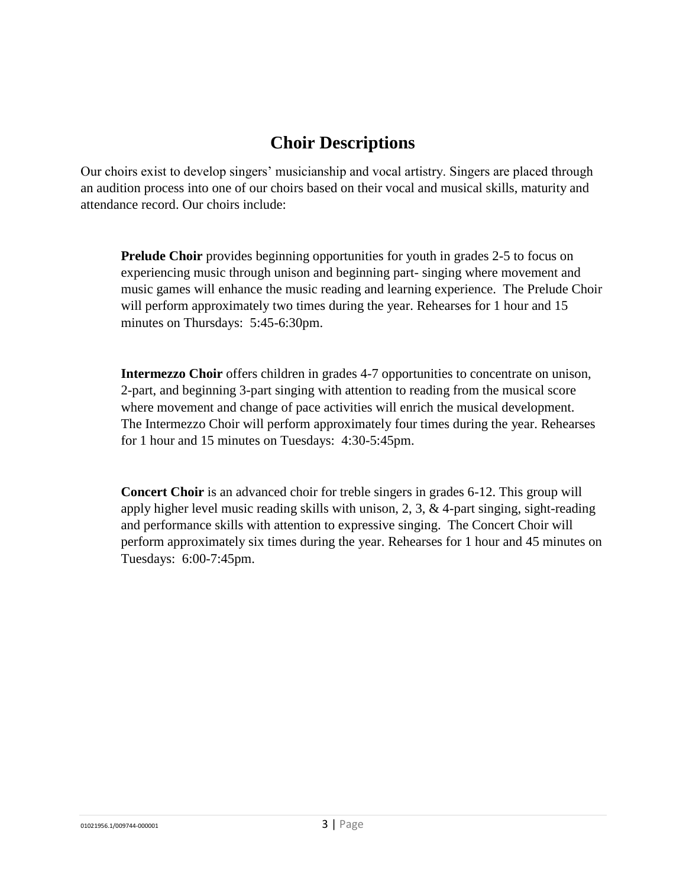## **Choir Descriptions**

Our choirs exist to develop singers' musicianship and vocal artistry. Singers are placed through an audition process into one of our choirs based on their vocal and musical skills, maturity and attendance record. Our choirs include:

**Prelude Choir** provides beginning opportunities for youth in grades 2-5 to focus on experiencing music through unison and beginning part- singing where movement and music games will enhance the music reading and learning experience. The Prelude Choir will perform approximately two times during the year. Rehearses for 1 hour and 15 minutes on Thursdays: 5:45-6:30pm.

**Intermezzo Choir** offers children in grades 4-7 opportunities to concentrate on unison, 2-part, and beginning 3-part singing with attention to reading from the musical score where movement and change of pace activities will enrich the musical development. The Intermezzo Choir will perform approximately four times during the year. Rehearses for 1 hour and 15 minutes on Tuesdays: 4:30-5:45pm.

**Concert Choir** is an advanced choir for treble singers in grades 6-12. This group will apply higher level music reading skills with unison, 2, 3, & 4-part singing, sight-reading and performance skills with attention to expressive singing. The Concert Choir will perform approximately six times during the year. Rehearses for 1 hour and 45 minutes on Tuesdays: 6:00-7:45pm.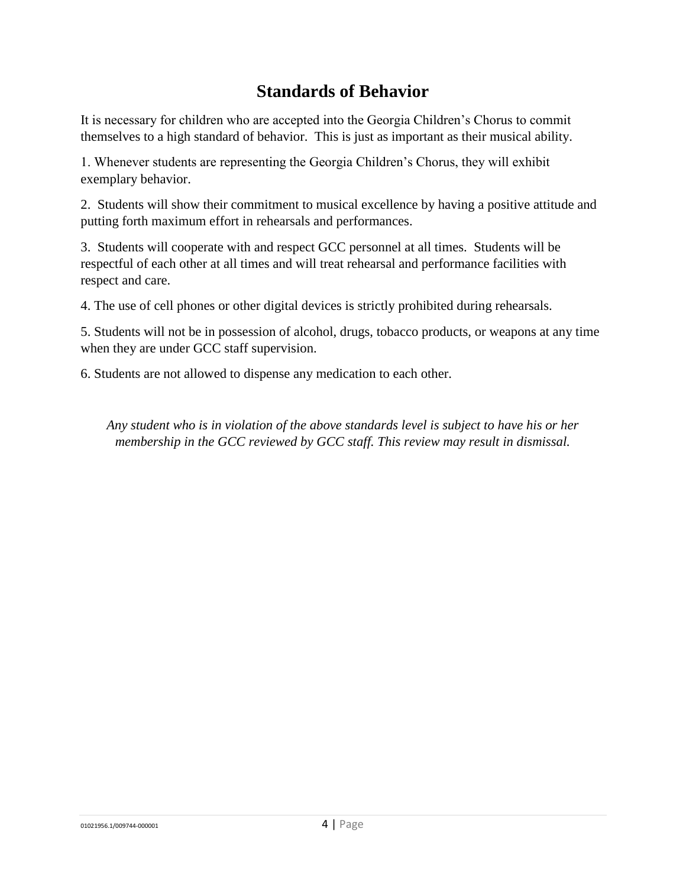# **Standards of Behavior**

It is necessary for children who are accepted into the Georgia Children's Chorus to commit themselves to a high standard of behavior. This is just as important as their musical ability.

1. Whenever students are representing the Georgia Children's Chorus, they will exhibit exemplary behavior.

2. Students will show their commitment to musical excellence by having a positive attitude and putting forth maximum effort in rehearsals and performances.

3. Students will cooperate with and respect GCC personnel at all times. Students will be respectful of each other at all times and will treat rehearsal and performance facilities with respect and care.

4. The use of cell phones or other digital devices is strictly prohibited during rehearsals.

5. Students will not be in possession of alcohol, drugs, tobacco products, or weapons at any time when they are under GCC staff supervision.

6. Students are not allowed to dispense any medication to each other.

*Any student who is in violation of the above standards level is subject to have his or her membership in the GCC reviewed by GCC staff. This review may result in dismissal.*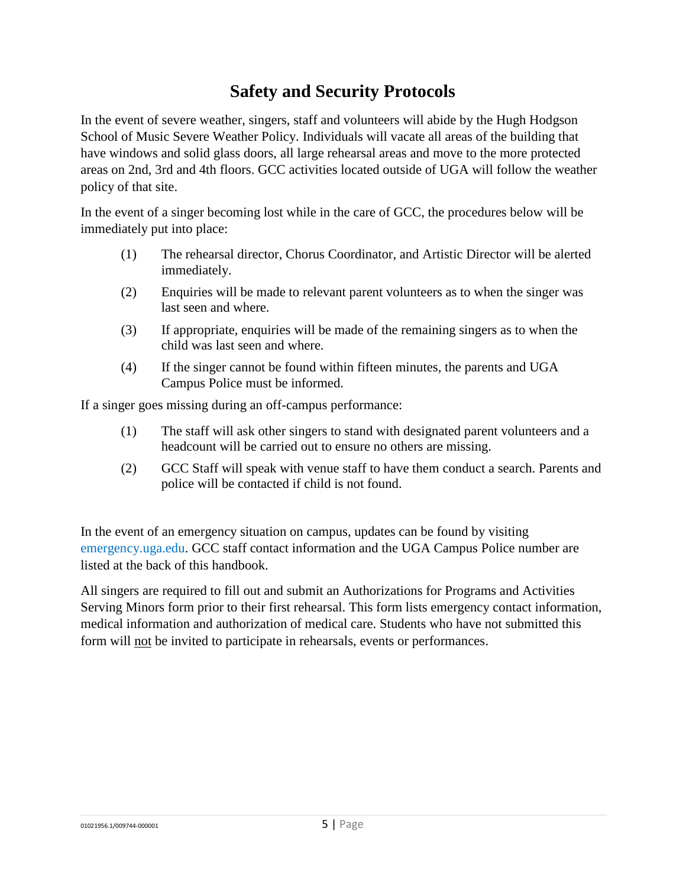# **Safety and Security Protocols**

In the event of severe weather, singers, staff and volunteers will abide by the Hugh Hodgson School of Music Severe Weather Policy. Individuals will vacate all areas of the building that have windows and solid glass doors, all large rehearsal areas and move to the more protected areas on 2nd, 3rd and 4th floors. GCC activities located outside of UGA will follow the weather policy of that site.

In the event of a singer becoming lost while in the care of GCC, the procedures below will be immediately put into place:

- (1) The rehearsal director, Chorus Coordinator, and Artistic Director will be alerted immediately.
- (2) Enquiries will be made to relevant parent volunteers as to when the singer was last seen and where.
- (3) If appropriate, enquiries will be made of the remaining singers as to when the child was last seen and where.
- (4) If the singer cannot be found within fifteen minutes, the parents and UGA Campus Police must be informed.

If a singer goes missing during an off-campus performance:

- (1) The staff will ask other singers to stand with designated parent volunteers and a headcount will be carried out to ensure no others are missing.
- (2) GCC Staff will speak with venue staff to have them conduct a search. Parents and police will be contacted if child is not found.

In the event of an emergency situation on campus, updates can be found by visiting emergency.uga.edu. GCC staff contact information and the UGA Campus Police number are listed at the back of this handbook.

All singers are required to fill out and submit an Authorizations for Programs and Activities Serving Minors form prior to their first rehearsal. This form lists emergency contact information, medical information and authorization of medical care. Students who have not submitted this form will not be invited to participate in rehearsals, events or performances.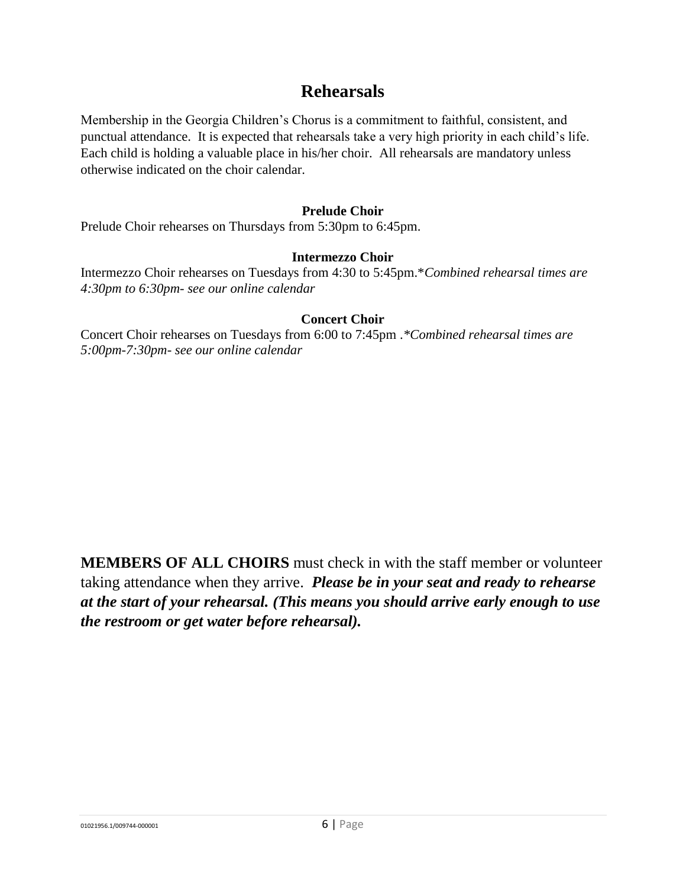### **Rehearsals**

Membership in the Georgia Children's Chorus is a commitment to faithful, consistent, and punctual attendance. It is expected that rehearsals take a very high priority in each child's life. Each child is holding a valuable place in his/her choir. All rehearsals are mandatory unless otherwise indicated on the choir calendar.

#### **Prelude Choir**

Prelude Choir rehearses on Thursdays from 5:30pm to 6:45pm.

#### **Intermezzo Choir**

Intermezzo Choir rehearses on Tuesdays from 4:30 to 5:45pm.\**Combined rehearsal times are 4:30pm to 6:30pm- see our online calendar*

#### **Concert Choir**

Concert Choir rehearses on Tuesdays from 6:00 to 7:45pm .*\*Combined rehearsal times are 5:00pm-7:30pm- see our online calendar*

**MEMBERS OF ALL CHOIRS** must check in with the staff member or volunteer taking attendance when they arrive. *Please be in your seat and ready to rehearse at the start of your rehearsal. (This means you should arrive early enough to use the restroom or get water before rehearsal).*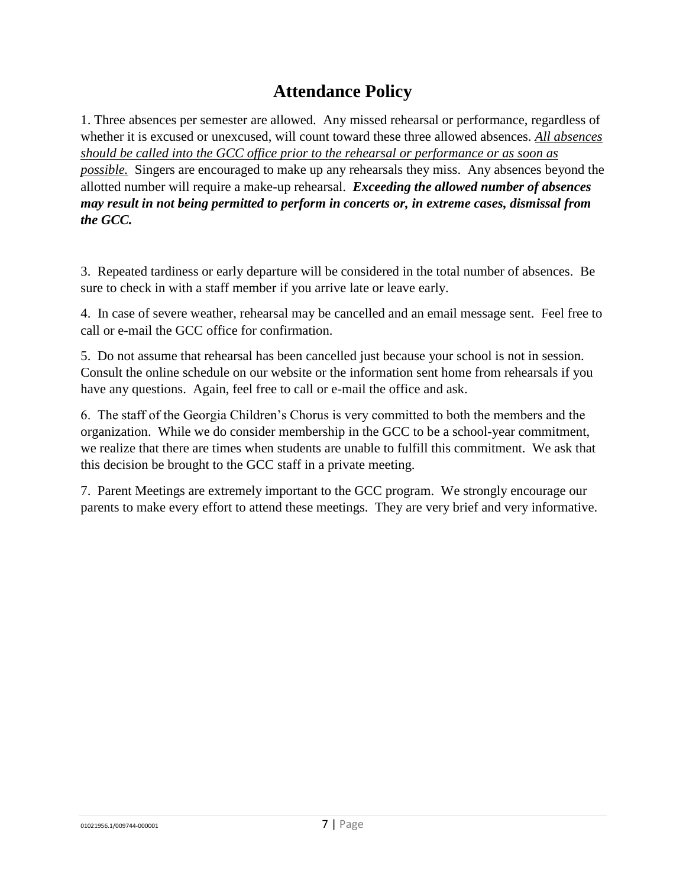# **Attendance Policy**

1. Three absences per semester are allowed. Any missed rehearsal or performance, regardless of whether it is excused or unexcused, will count toward these three allowed absences. *All absences should be called into the GCC office prior to the rehearsal or performance or as soon as possible.* Singers are encouraged to make up any rehearsals they miss. Any absences beyond the allotted number will require a make-up rehearsal. *Exceeding the allowed number of absences may result in not being permitted to perform in concerts or, in extreme cases, dismissal from the GCC.*

3. Repeated tardiness or early departure will be considered in the total number of absences. Be sure to check in with a staff member if you arrive late or leave early.

4. In case of severe weather, rehearsal may be cancelled and an email message sent. Feel free to call or e-mail the GCC office for confirmation.

5. Do not assume that rehearsal has been cancelled just because your school is not in session. Consult the online schedule on our website or the information sent home from rehearsals if you have any questions. Again, feel free to call or e-mail the office and ask.

6. The staff of the Georgia Children's Chorus is very committed to both the members and the organization. While we do consider membership in the GCC to be a school-year commitment, we realize that there are times when students are unable to fulfill this commitment. We ask that this decision be brought to the GCC staff in a private meeting.

7. Parent Meetings are extremely important to the GCC program. We strongly encourage our parents to make every effort to attend these meetings. They are very brief and very informative.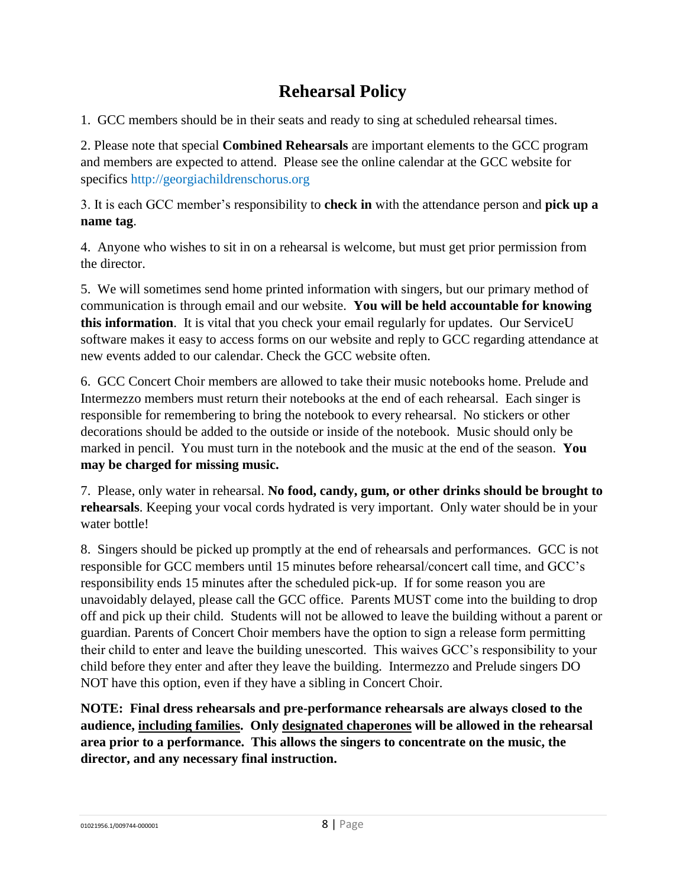# **Rehearsal Policy**

1. GCC members should be in their seats and ready to sing at scheduled rehearsal times.

2. Please note that special **Combined Rehearsals** are important elements to the GCC program and members are expected to attend. Please see the online calendar at the GCC website for specifics http://georgiachildrenschorus.org

3. It is each GCC member's responsibility to **check in** with the attendance person and **pick up a name tag**.

4. Anyone who wishes to sit in on a rehearsal is welcome, but must get prior permission from the director.

5. We will sometimes send home printed information with singers, but our primary method of communication is through email and our website. **You will be held accountable for knowing this information**. It is vital that you check your email regularly for updates. Our ServiceU software makes it easy to access forms on our website and reply to GCC regarding attendance at new events added to our calendar. Check the GCC website often.

6. GCC Concert Choir members are allowed to take their music notebooks home. Prelude and Intermezzo members must return their notebooks at the end of each rehearsal. Each singer is responsible for remembering to bring the notebook to every rehearsal. No stickers or other decorations should be added to the outside or inside of the notebook. Music should only be marked in pencil. You must turn in the notebook and the music at the end of the season. **You may be charged for missing music.**

7. Please, only water in rehearsal. **No food, candy, gum, or other drinks should be brought to rehearsals**. Keeping your vocal cords hydrated is very important. Only water should be in your water bottle!

8. Singers should be picked up promptly at the end of rehearsals and performances. GCC is not responsible for GCC members until 15 minutes before rehearsal/concert call time, and GCC's responsibility ends 15 minutes after the scheduled pick-up. If for some reason you are unavoidably delayed, please call the GCC office. Parents MUST come into the building to drop off and pick up their child. Students will not be allowed to leave the building without a parent or guardian. Parents of Concert Choir members have the option to sign a release form permitting their child to enter and leave the building unescorted. This waives GCC's responsibility to your child before they enter and after they leave the building. Intermezzo and Prelude singers DO NOT have this option, even if they have a sibling in Concert Choir.

**NOTE: Final dress rehearsals and pre-performance rehearsals are always closed to the audience, including families. Only designated chaperones will be allowed in the rehearsal area prior to a performance. This allows the singers to concentrate on the music, the director, and any necessary final instruction.**

01021956.1/009744-000001 8 | Page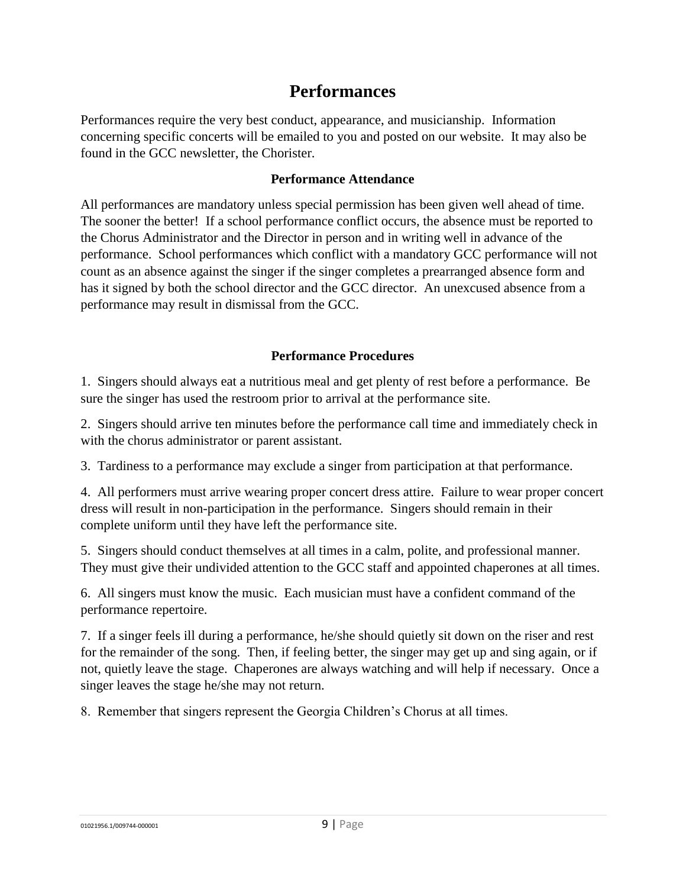### **Performances**

Performances require the very best conduct, appearance, and musicianship. Information concerning specific concerts will be emailed to you and posted on our website. It may also be found in the GCC newsletter, the Chorister.

#### **Performance Attendance**

All performances are mandatory unless special permission has been given well ahead of time. The sooner the better! If a school performance conflict occurs, the absence must be reported to the Chorus Administrator and the Director in person and in writing well in advance of the performance. School performances which conflict with a mandatory GCC performance will not count as an absence against the singer if the singer completes a prearranged absence form and has it signed by both the school director and the GCC director. An unexcused absence from a performance may result in dismissal from the GCC.

#### **Performance Procedures**

1. Singers should always eat a nutritious meal and get plenty of rest before a performance. Be sure the singer has used the restroom prior to arrival at the performance site.

2. Singers should arrive ten minutes before the performance call time and immediately check in with the chorus administrator or parent assistant.

3. Tardiness to a performance may exclude a singer from participation at that performance.

4. All performers must arrive wearing proper concert dress attire. Failure to wear proper concert dress will result in non-participation in the performance. Singers should remain in their complete uniform until they have left the performance site.

5. Singers should conduct themselves at all times in a calm, polite, and professional manner. They must give their undivided attention to the GCC staff and appointed chaperones at all times.

6. All singers must know the music. Each musician must have a confident command of the performance repertoire.

7. If a singer feels ill during a performance, he/she should quietly sit down on the riser and rest for the remainder of the song. Then, if feeling better, the singer may get up and sing again, or if not, quietly leave the stage. Chaperones are always watching and will help if necessary. Once a singer leaves the stage he/she may not return.

8. Remember that singers represent the Georgia Children's Chorus at all times.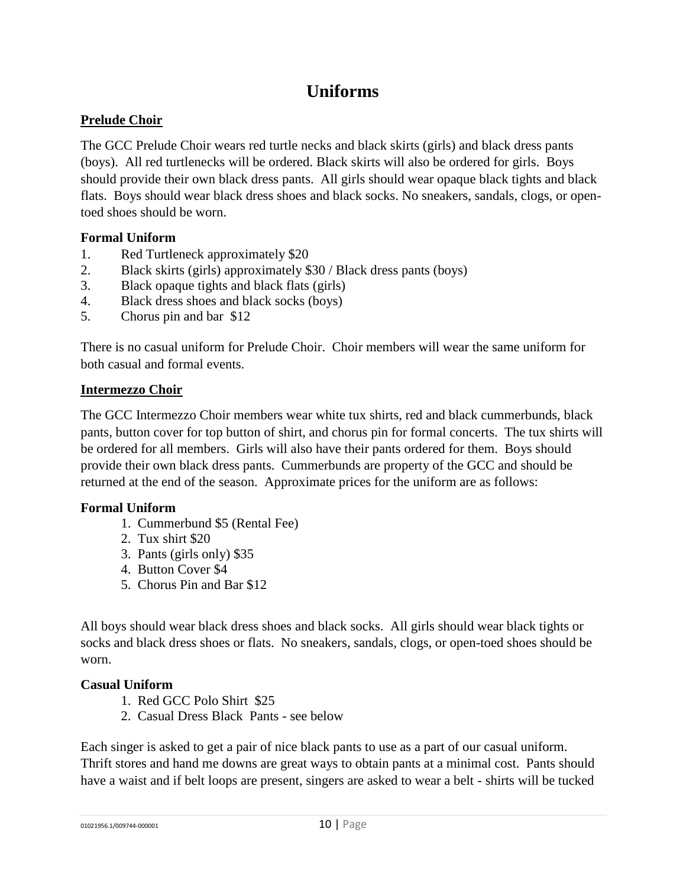### **Uniforms**

#### **Prelude Choir**

The GCC Prelude Choir wears red turtle necks and black skirts (girls) and black dress pants (boys). All red turtlenecks will be ordered. Black skirts will also be ordered for girls. Boys should provide their own black dress pants. All girls should wear opaque black tights and black flats. Boys should wear black dress shoes and black socks. No sneakers, sandals, clogs, or opentoed shoes should be worn.

#### **Formal Uniform**

- 1. Red Turtleneck approximately \$20
- 2. Black skirts (girls) approximately \$30 / Black dress pants (boys)
- 3. Black opaque tights and black flats (girls)
- 4. Black dress shoes and black socks (boys)
- 5. Chorus pin and bar \$12

There is no casual uniform for Prelude Choir. Choir members will wear the same uniform for both casual and formal events.

#### **Intermezzo Choir**

The GCC Intermezzo Choir members wear white tux shirts, red and black cummerbunds, black pants, button cover for top button of shirt, and chorus pin for formal concerts. The tux shirts will be ordered for all members. Girls will also have their pants ordered for them. Boys should provide their own black dress pants. Cummerbunds are property of the GCC and should be returned at the end of the season. Approximate prices for the uniform are as follows:

#### **Formal Uniform**

- 1. Cummerbund \$5 (Rental Fee)
- 2. Tux shirt \$20
- 3. Pants (girls only) \$35
- 4. Button Cover \$4
- 5. Chorus Pin and Bar \$12

All boys should wear black dress shoes and black socks. All girls should wear black tights or socks and black dress shoes or flats. No sneakers, sandals, clogs, or open-toed shoes should be worn.

#### **Casual Uniform**

- 1. Red GCC Polo Shirt \$25
- 2. Casual Dress Black Pants see below

Each singer is asked to get a pair of nice black pants to use as a part of our casual uniform. Thrift stores and hand me downs are great ways to obtain pants at a minimal cost. Pants should have a waist and if belt loops are present, singers are asked to wear a belt - shirts will be tucked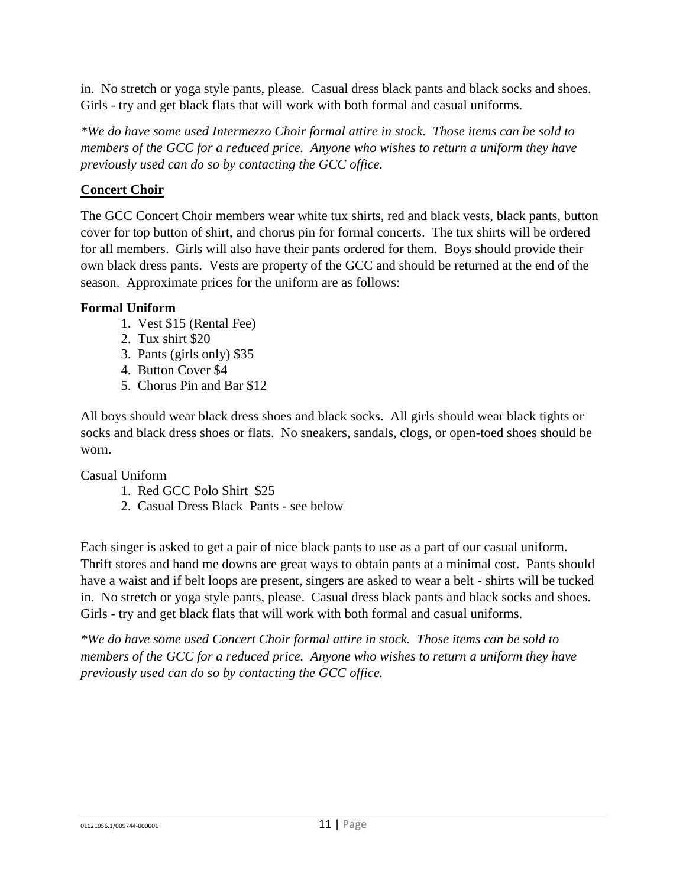in. No stretch or yoga style pants, please. Casual dress black pants and black socks and shoes. Girls - try and get black flats that will work with both formal and casual uniforms.

*\*We do have some used Intermezzo Choir formal attire in stock. Those items can be sold to members of the GCC for a reduced price. Anyone who wishes to return a uniform they have previously used can do so by contacting the GCC office.*

#### **Concert Choir**

The GCC Concert Choir members wear white tux shirts, red and black vests, black pants, button cover for top button of shirt, and chorus pin for formal concerts. The tux shirts will be ordered for all members. Girls will also have their pants ordered for them. Boys should provide their own black dress pants. Vests are property of the GCC and should be returned at the end of the season. Approximate prices for the uniform are as follows:

#### **Formal Uniform**

- 1. Vest \$15 (Rental Fee)
- 2. Tux shirt \$20
- 3. Pants (girls only) \$35
- 4. Button Cover \$4
- 5. Chorus Pin and Bar \$12

All boys should wear black dress shoes and black socks. All girls should wear black tights or socks and black dress shoes or flats. No sneakers, sandals, clogs, or open-toed shoes should be worn.

Casual Uniform

- 1. Red GCC Polo Shirt \$25
- 2. Casual Dress Black Pants see below

Each singer is asked to get a pair of nice black pants to use as a part of our casual uniform. Thrift stores and hand me downs are great ways to obtain pants at a minimal cost. Pants should have a waist and if belt loops are present, singers are asked to wear a belt - shirts will be tucked in. No stretch or yoga style pants, please. Casual dress black pants and black socks and shoes. Girls - try and get black flats that will work with both formal and casual uniforms.

*\*We do have some used Concert Choir formal attire in stock. Those items can be sold to members of the GCC for a reduced price. Anyone who wishes to return a uniform they have previously used can do so by contacting the GCC office.*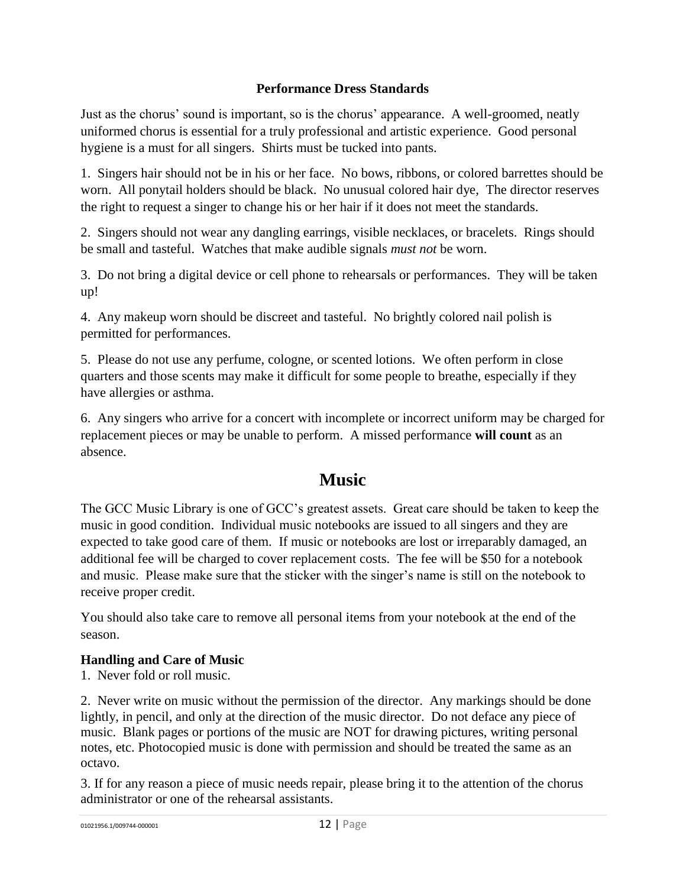#### **Performance Dress Standards**

Just as the chorus' sound is important, so is the chorus' appearance. A well-groomed, neatly uniformed chorus is essential for a truly professional and artistic experience. Good personal hygiene is a must for all singers. Shirts must be tucked into pants.

1. Singers hair should not be in his or her face. No bows, ribbons, or colored barrettes should be worn. All ponytail holders should be black. No unusual colored hair dye, The director reserves the right to request a singer to change his or her hair if it does not meet the standards.

2. Singers should not wear any dangling earrings, visible necklaces, or bracelets. Rings should be small and tasteful. Watches that make audible signals *must not* be worn.

3. Do not bring a digital device or cell phone to rehearsals or performances. They will be taken up!

4. Any makeup worn should be discreet and tasteful. No brightly colored nail polish is permitted for performances.

5. Please do not use any perfume, cologne, or scented lotions. We often perform in close quarters and those scents may make it difficult for some people to breathe, especially if they have allergies or asthma.

6. Any singers who arrive for a concert with incomplete or incorrect uniform may be charged for replacement pieces or may be unable to perform. A missed performance **will count** as an absence.

### **Music**

The GCC Music Library is one of GCC's greatest assets. Great care should be taken to keep the music in good condition. Individual music notebooks are issued to all singers and they are expected to take good care of them. If music or notebooks are lost or irreparably damaged, an additional fee will be charged to cover replacement costs. The fee will be \$50 for a notebook and music. Please make sure that the sticker with the singer's name is still on the notebook to receive proper credit.

You should also take care to remove all personal items from your notebook at the end of the season.

#### **Handling and Care of Music**

1. Never fold or roll music.

2. Never write on music without the permission of the director. Any markings should be done lightly, in pencil, and only at the direction of the music director. Do not deface any piece of music. Blank pages or portions of the music are NOT for drawing pictures, writing personal notes, etc. Photocopied music is done with permission and should be treated the same as an octavo.

3. If for any reason a piece of music needs repair, please bring it to the attention of the chorus administrator or one of the rehearsal assistants.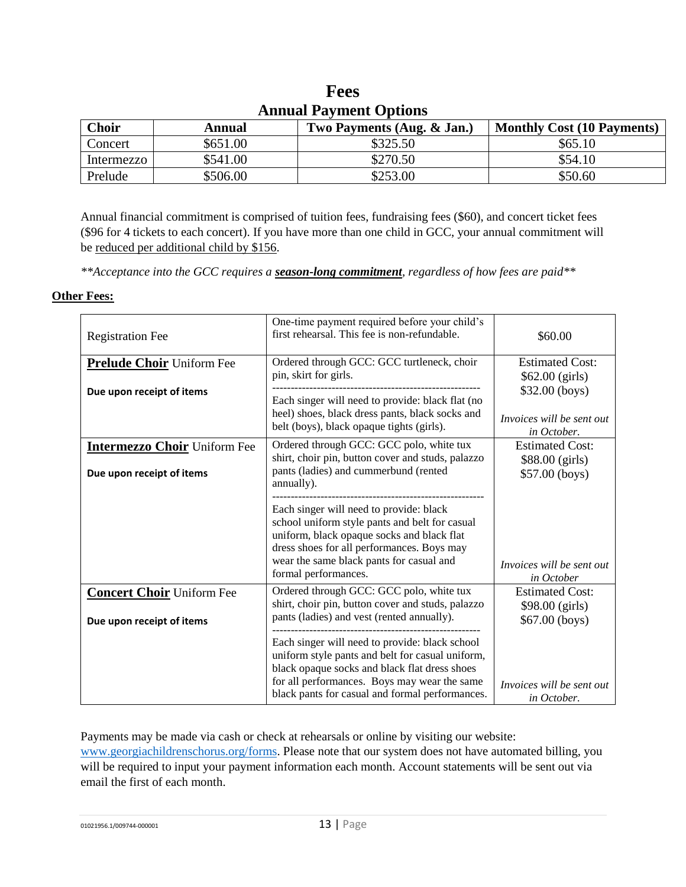#### **Fees Annual Payment Options**

| <b>Choir</b> | Annual   | Two Payments (Aug. & Jan.) | <b>Monthly Cost (10 Payments)</b> |
|--------------|----------|----------------------------|-----------------------------------|
| Concert      | \$651.00 | \$325.50                   | \$65.10                           |
| Intermezzo   | \$541.00 | \$270.50                   | \$54.10                           |
| Prelude      | \$506.00 | \$253.00                   | \$50.60                           |

Annual financial commitment is comprised of tuition fees, fundraising fees (\$60), and concert ticket fees (\$96 for 4 tickets to each concert). If you have more than one child in GCC, your annual commitment will be reduced per additional child by \$156.

*\*\*Acceptance into the GCC requires a season-long commitment, regardless of how fees are paid\*\**

#### **Other Fees:**

| <b>Registration Fee</b>                                          | One-time payment required before your child's<br>first rehearsal. This fee is non-refundable.                                                                                                                                                             | \$60.00                                                     |
|------------------------------------------------------------------|-----------------------------------------------------------------------------------------------------------------------------------------------------------------------------------------------------------------------------------------------------------|-------------------------------------------------------------|
| <b>Prelude Choir Uniform Fee</b>                                 | Ordered through GCC: GCC turtleneck, choir<br>pin, skirt for girls.                                                                                                                                                                                       | <b>Estimated Cost:</b><br>\$62.00 (girls)                   |
| Due upon receipt of items                                        | Each singer will need to provide: black flat (no<br>heel) shoes, black dress pants, black socks and<br>belt (boys), black opaque tights (girls).                                                                                                          | \$32.00 (boys)<br>Invoices will be sent out<br>in October.  |
| <b>Intermezzo Choir Uniform Fee</b><br>Due upon receipt of items | Ordered through GCC: GCC polo, white tux<br>shirt, choir pin, button cover and studs, palazzo<br>pants (ladies) and cummerbund (rented<br>annually).                                                                                                      | <b>Estimated Cost:</b><br>\$88.00 (girls)<br>\$57.00 (boys) |
|                                                                  | Each singer will need to provide: black<br>school uniform style pants and belt for casual<br>uniform, black opaque socks and black flat<br>dress shoes for all performances. Boys may<br>wear the same black pants for casual and<br>formal performances. | Invoices will be sent out<br>in October                     |
| <b>Concert Choir Uniform Fee</b><br>Due upon receipt of items    | Ordered through GCC: GCC polo, white tux<br>shirt, choir pin, button cover and studs, palazzo<br>pants (ladies) and vest (rented annually).                                                                                                               | <b>Estimated Cost:</b><br>\$98.00 (girls)<br>\$67.00 (boys) |
|                                                                  | Each singer will need to provide: black school<br>uniform style pants and belt for casual uniform,<br>black opaque socks and black flat dress shoes<br>for all performances. Boys may wear the same<br>black pants for casual and formal performances.    | Invoices will be sent out<br>in October.                    |

Payments may be made via cash or check at rehearsals or online by visiting our website: [www.georgiachildrenschorus.org/forms.](http://www.georgiachildrenschorus.org/forms) Please note that our system does not have automated billing, you will be required to input your payment information each month. Account statements will be sent out via email the first of each month.

01021956.1/009744-000001 13 | Page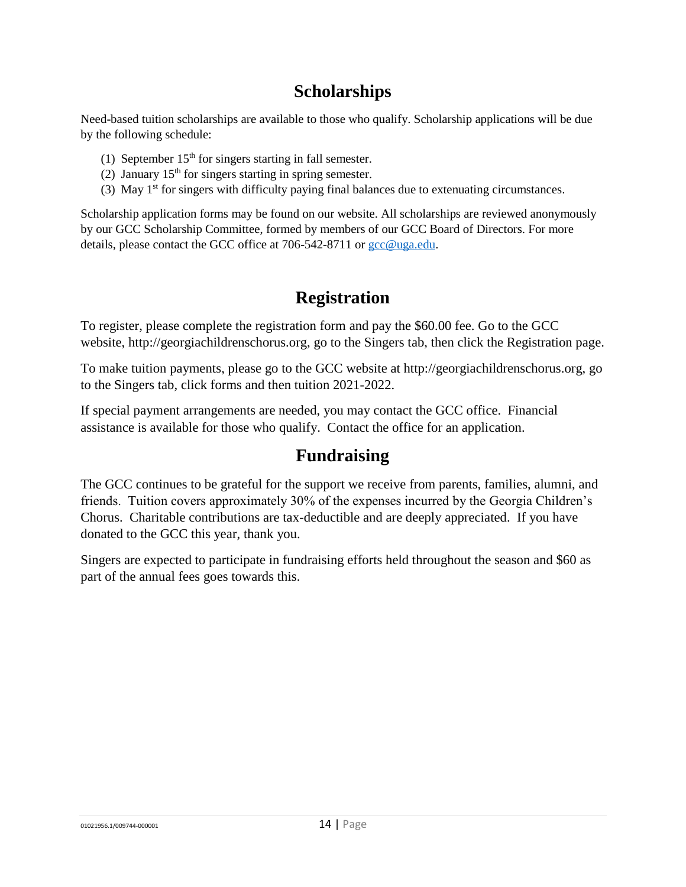### **Scholarships**

Need-based tuition scholarships are available to those who qualify. Scholarship applications will be due by the following schedule:

- (1) September  $15<sup>th</sup>$  for singers starting in fall semester.
- (2) January  $15<sup>th</sup>$  for singers starting in spring semester.
- (3) May  $1<sup>st</sup>$  for singers with difficulty paying final balances due to extenuating circumstances.

Scholarship application forms may be found on our website. All scholarships are reviewed anonymously by our GCC Scholarship Committee, formed by members of our GCC Board of Directors. For more details, please contact the GCC office at 706-542-8711 o[r gcc@uga.edu.](mailto:gcc@uga.edu)

### **Registration**

To register, please complete the registration form and pay the \$60.00 fee. Go to the GCC website, http://georgiachildrenschorus.org, go to the Singers tab, then click the Registration page.

To make tuition payments, please go to the GCC website at http://georgiachildrenschorus.org, go to the Singers tab, click forms and then tuition 2021-2022.

If special payment arrangements are needed, you may contact the GCC office. Financial assistance is available for those who qualify. Contact the office for an application.

### **Fundraising**

The GCC continues to be grateful for the support we receive from parents, families, alumni, and friends. Tuition covers approximately 30% of the expenses incurred by the Georgia Children's Chorus. Charitable contributions are tax-deductible and are deeply appreciated. If you have donated to the GCC this year, thank you.

Singers are expected to participate in fundraising efforts held throughout the season and \$60 as part of the annual fees goes towards this.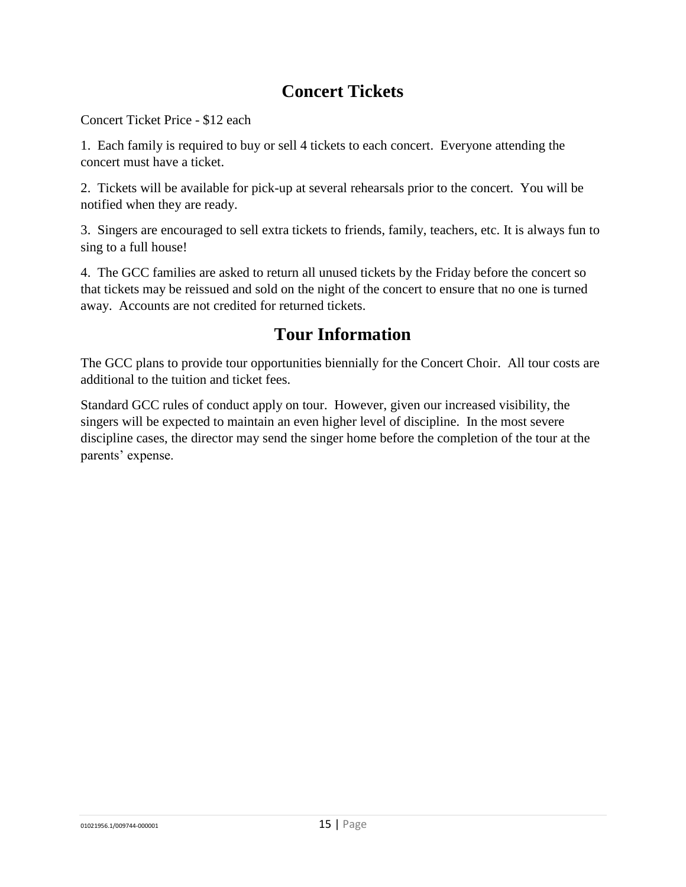# **Concert Tickets**

Concert Ticket Price - \$12 each

1. Each family is required to buy or sell 4 tickets to each concert. Everyone attending the concert must have a ticket.

2. Tickets will be available for pick-up at several rehearsals prior to the concert. You will be notified when they are ready.

3. Singers are encouraged to sell extra tickets to friends, family, teachers, etc. It is always fun to sing to a full house!

4. The GCC families are asked to return all unused tickets by the Friday before the concert so that tickets may be reissued and sold on the night of the concert to ensure that no one is turned away. Accounts are not credited for returned tickets.

# **Tour Information**

The GCC plans to provide tour opportunities biennially for the Concert Choir. All tour costs are additional to the tuition and ticket fees.

Standard GCC rules of conduct apply on tour. However, given our increased visibility, the singers will be expected to maintain an even higher level of discipline. In the most severe discipline cases, the director may send the singer home before the completion of the tour at the parents' expense.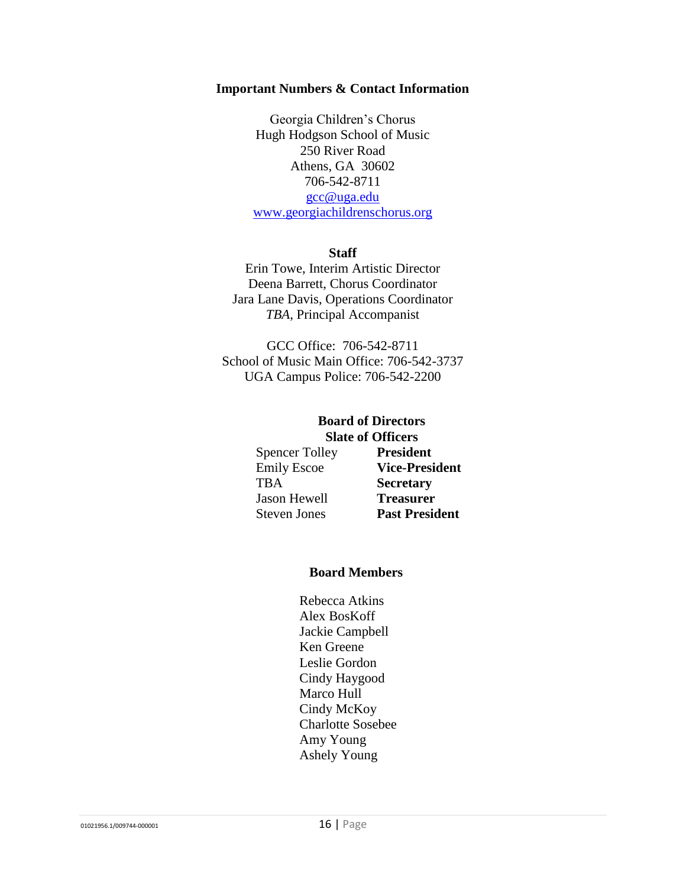#### **Important Numbers & Contact Information**

Georgia Children's Chorus Hugh Hodgson School of Music 250 River Road Athens, GA 30602 706-542-8711 [gcc@uga.edu](mailto:gcc@uga.edu) [www.georgiachildrenschorus.org](http://www.georgiachildrenschorus.org/)

#### **Staff**

Erin Towe, Interim Artistic Director Deena Barrett, Chorus Coordinator Jara Lane Davis, Operations Coordinator *TBA*, Principal Accompanist

GCC Office: 706-542-8711 School of Music Main Office: 706-542-3737 UGA Campus Police: 706-542-2200

#### **Board of Directors Slate of Officers**

Spencer Tolley **President** TBA **Secretary** Jason Hewell **Treasurer**

Emily Escoe **Vice-President** Steven Jones **Past President**

#### **Board Members**

Rebecca Atkins Alex BosKoff Jackie Campbell Ken Greene Leslie Gordon Cindy Haygood Marco Hull Cindy McKoy Charlotte Sosebee Amy Young Ashely Young